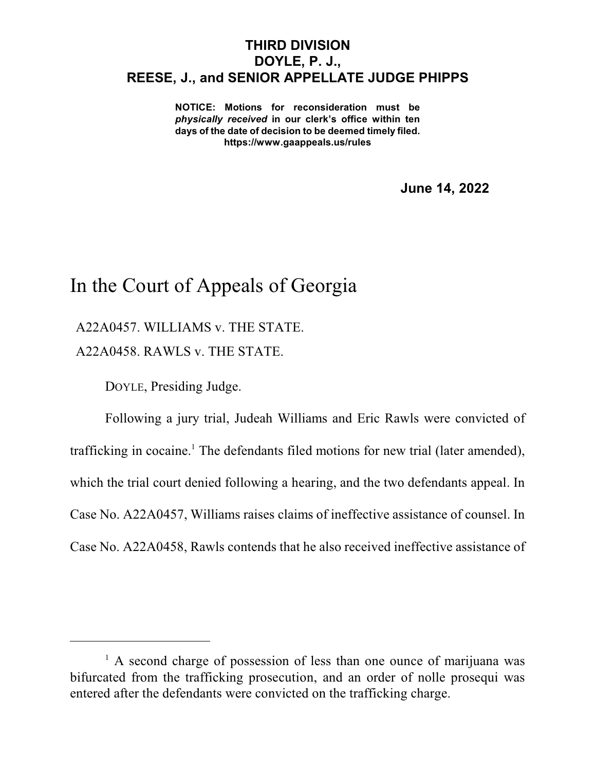## **THIRD DIVISION DOYLE, P. J., REESE, J., and SENIOR APPELLATE JUDGE PHIPPS**

**NOTICE: Motions for reconsideration must be** *physically received* **in our clerk's office within ten days of the date of decision to be deemed timely filed. https://www.gaappeals.us/rules**

**June 14, 2022**

## In the Court of Appeals of Georgia

A22A0457. WILLIAMS v. THE STATE.

A22A0458. RAWLS v. THE STATE.

DOYLE, Presiding Judge.

Following a jury trial, Judeah Williams and Eric Rawls were convicted of trafficking in cocaine.<sup>1</sup> The defendants filed motions for new trial (later amended), which the trial court denied following a hearing, and the two defendants appeal. In Case No. A22A0457, Williams raises claims of ineffective assistance of counsel. In Case No. A22A0458, Rawls contends that he also received ineffective assistance of

 $<sup>1</sup>$  A second charge of possession of less than one ounce of marijuana was</sup> bifurcated from the trafficking prosecution, and an order of nolle prosequi was entered after the defendants were convicted on the trafficking charge.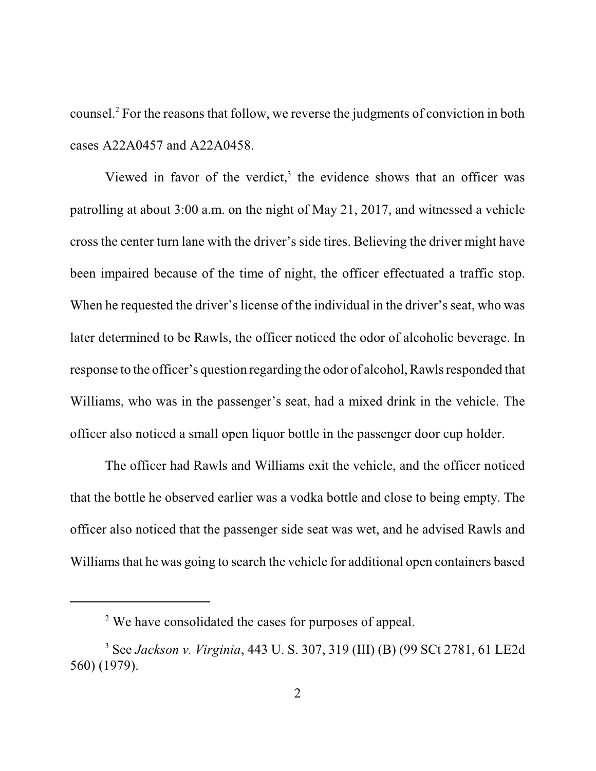counsel. <sup>2</sup> For the reasons that follow, we reverse the judgments of conviction in both cases A22A0457 and A22A0458.

Viewed in favor of the verdict, $3$  the evidence shows that an officer was patrolling at about 3:00 a.m. on the night of May 21, 2017, and witnessed a vehicle cross the center turn lane with the driver's side tires. Believing the driver might have been impaired because of the time of night, the officer effectuated a traffic stop. When he requested the driver's license of the individual in the driver's seat, who was later determined to be Rawls, the officer noticed the odor of alcoholic beverage. In response to the officer's question regarding the odor of alcohol, Rawlsresponded that Williams, who was in the passenger's seat, had a mixed drink in the vehicle. The officer also noticed a small open liquor bottle in the passenger door cup holder.

The officer had Rawls and Williams exit the vehicle, and the officer noticed that the bottle he observed earlier was a vodka bottle and close to being empty. The officer also noticed that the passenger side seat was wet, and he advised Rawls and Williams that he was going to search the vehicle for additional open containers based

<sup>&</sup>lt;sup>2</sup> We have consolidated the cases for purposes of appeal.

<sup>3</sup> See *Jackson v. Virginia*, 443 U. S. 307, 319 (III) (B) (99 SCt 2781, 61 LE2d 560) (1979).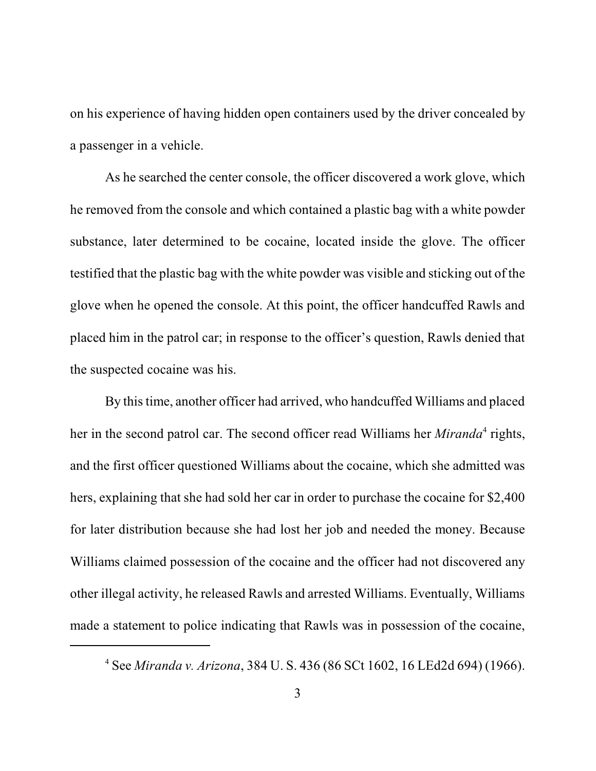on his experience of having hidden open containers used by the driver concealed by a passenger in a vehicle.

As he searched the center console, the officer discovered a work glove, which he removed from the console and which contained a plastic bag with a white powder substance, later determined to be cocaine, located inside the glove. The officer testified that the plastic bag with the white powder was visible and sticking out of the glove when he opened the console. At this point, the officer handcuffed Rawls and placed him in the patrol car; in response to the officer's question, Rawls denied that the suspected cocaine was his.

By this time, another officer had arrived, who handcuffed Williams and placed her in the second patrol car. The second officer read Williams her *Miranda*<sup>4</sup> rights, and the first officer questioned Williams about the cocaine, which she admitted was hers, explaining that she had sold her car in order to purchase the cocaine for \$2,400 for later distribution because she had lost her job and needed the money. Because Williams claimed possession of the cocaine and the officer had not discovered any other illegal activity, he released Rawls and arrested Williams. Eventually, Williams made a statement to police indicating that Rawls was in possession of the cocaine,

<sup>4</sup> See *Miranda v. Arizona*, 384 U. S. 436 (86 SCt 1602, 16 LEd2d 694) (1966).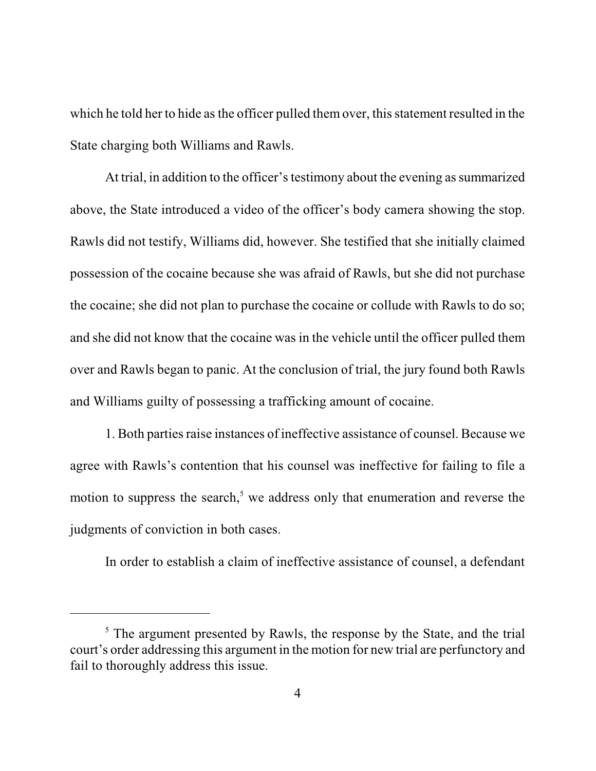which he told her to hide as the officer pulled them over, this statement resulted in the State charging both Williams and Rawls.

At trial, in addition to the officer's testimony about the evening as summarized above, the State introduced a video of the officer's body camera showing the stop. Rawls did not testify, Williams did, however. She testified that she initially claimed possession of the cocaine because she was afraid of Rawls, but she did not purchase the cocaine; she did not plan to purchase the cocaine or collude with Rawls to do so; and she did not know that the cocaine was in the vehicle until the officer pulled them over and Rawls began to panic. At the conclusion of trial, the jury found both Rawls and Williams guilty of possessing a trafficking amount of cocaine.

1. Both parties raise instances of ineffective assistance of counsel. Because we agree with Rawls's contention that his counsel was ineffective for failing to file a motion to suppress the search,<sup>5</sup> we address only that enumeration and reverse the judgments of conviction in both cases.

In order to establish a claim of ineffective assistance of counsel, a defendant

 $<sup>5</sup>$  The argument presented by Rawls, the response by the State, and the trial</sup> court's order addressing this argument in the motion for new trial are perfunctory and fail to thoroughly address this issue.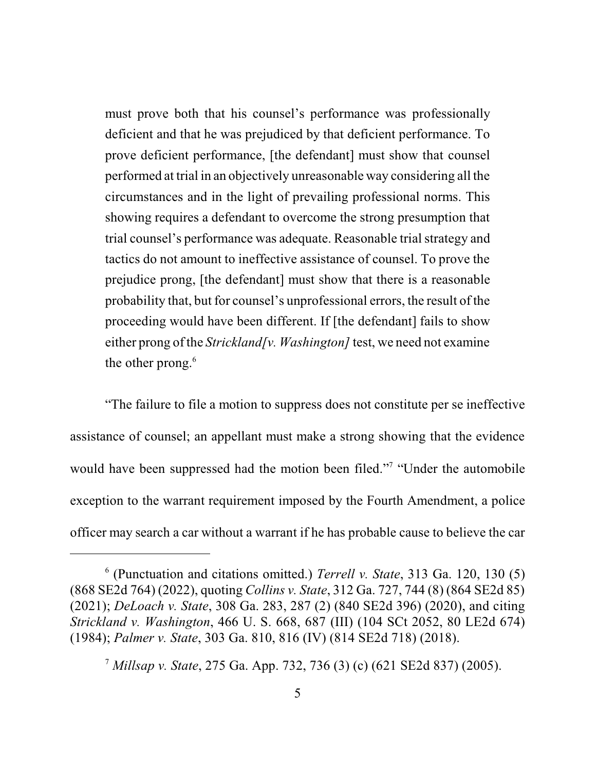must prove both that his counsel's performance was professionally deficient and that he was prejudiced by that deficient performance. To prove deficient performance, [the defendant] must show that counsel performed at trial in an objectively unreasonable way considering all the circumstances and in the light of prevailing professional norms. This showing requires a defendant to overcome the strong presumption that trial counsel's performance was adequate. Reasonable trial strategy and tactics do not amount to ineffective assistance of counsel. To prove the prejudice prong, [the defendant] must show that there is a reasonable probability that, but for counsel's unprofessional errors, the result of the proceeding would have been different. If [the defendant] fails to show either prong of the *Strickland[v. Washington]* test, we need not examine the other prong. 6

"The failure to file a motion to suppress does not constitute per se ineffective assistance of counsel; an appellant must make a strong showing that the evidence would have been suppressed had the motion been filed."<sup>7</sup> "Under the automobile exception to the warrant requirement imposed by the Fourth Amendment, a police officer may search a car without a warrant if he has probable cause to believe the car

<sup>6</sup> (Punctuation and citations omitted.) *Terrell v. State*, 313 Ga. 120, 130 (5) (868 SE2d 764) (2022), quoting *Collins v. State*, 312 Ga. 727, 744 (8) (864 SE2d 85) (2021); *DeLoach v. State*, 308 Ga. 283, 287 (2) (840 SE2d 396) (2020), and citing *Strickland v. Washington*, 466 U. S. 668, 687 (III) (104 SCt 2052, 80 LE2d 674) (1984); *Palmer v. State*, 303 Ga. 810, 816 (IV) (814 SE2d 718) (2018).

<sup>7</sup> *Millsap v. State*, 275 Ga. App. 732, 736 (3) (c) (621 SE2d 837) (2005).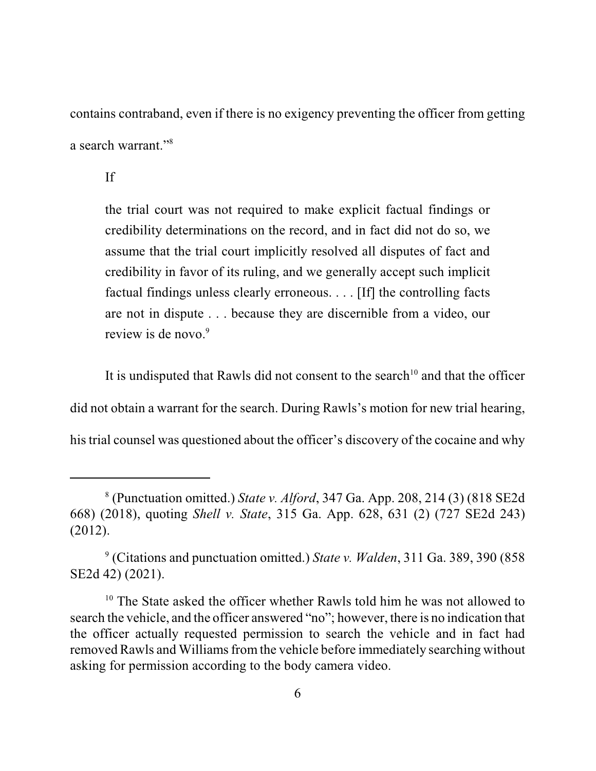contains contraband, even if there is no exigency preventing the officer from getting a search warrant."<sup>8</sup>

If

the trial court was not required to make explicit factual findings or credibility determinations on the record, and in fact did not do so, we assume that the trial court implicitly resolved all disputes of fact and credibility in favor of its ruling, and we generally accept such implicit factual findings unless clearly erroneous. . . . [If] the controlling facts are not in dispute . . . because they are discernible from a video, our review is de novo.<sup>9</sup>

It is undisputed that Rawls did not consent to the search<sup>10</sup> and that the officer did not obtain a warrant for the search. During Rawls's motion for new trial hearing, his trial counsel was questioned about the officer's discovery of the cocaine and why

<sup>8</sup> (Punctuation omitted.) *State v. Alford*, 347 Ga. App. 208, 214 (3) (818 SE2d 668) (2018), quoting *Shell v. State*, 315 Ga. App. 628, 631 (2) (727 SE2d 243) (2012).

<sup>9</sup> (Citations and punctuation omitted.) *State v. Walden*, 311 Ga. 389, 390 (858 SE2d 42) (2021).

<sup>&</sup>lt;sup>10</sup> The State asked the officer whether Rawls told him he was not allowed to search the vehicle, and the officer answered "no"; however, there is no indication that the officer actually requested permission to search the vehicle and in fact had removed Rawls and Williams from the vehicle before immediately searching without asking for permission according to the body camera video.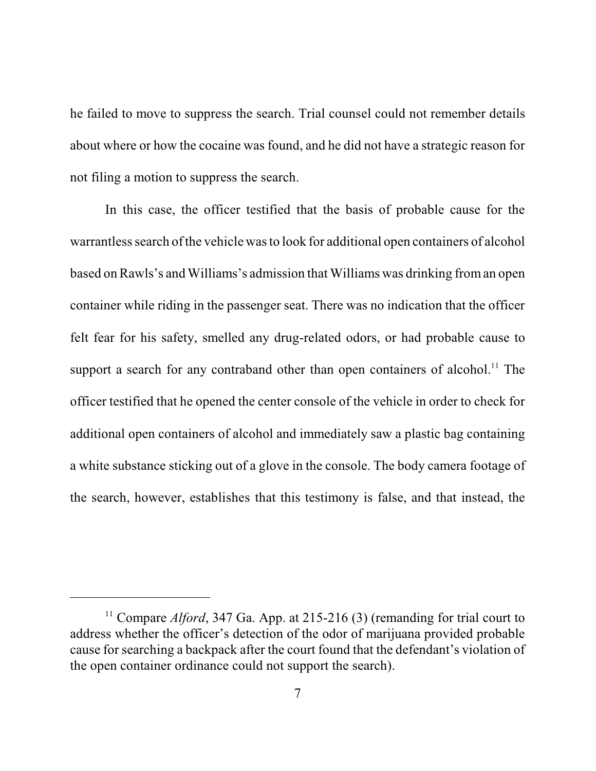he failed to move to suppress the search. Trial counsel could not remember details about where or how the cocaine was found, and he did not have a strategic reason for not filing a motion to suppress the search.

In this case, the officer testified that the basis of probable cause for the warrantless search of the vehicle was to look for additional open containers of alcohol based on Rawls's andWilliams's admission that Williams was drinking froman open container while riding in the passenger seat. There was no indication that the officer felt fear for his safety, smelled any drug-related odors, or had probable cause to support a search for any contraband other than open containers of alcohol.<sup>11</sup> The officer testified that he opened the center console of the vehicle in order to check for additional open containers of alcohol and immediately saw a plastic bag containing a white substance sticking out of a glove in the console. The body camera footage of the search, however, establishes that this testimony is false, and that instead, the

<sup>&</sup>lt;sup>11</sup> Compare *Alford*, 347 Ga. App. at 215-216 (3) (remanding for trial court to address whether the officer's detection of the odor of marijuana provided probable cause for searching a backpack after the court found that the defendant's violation of the open container ordinance could not support the search).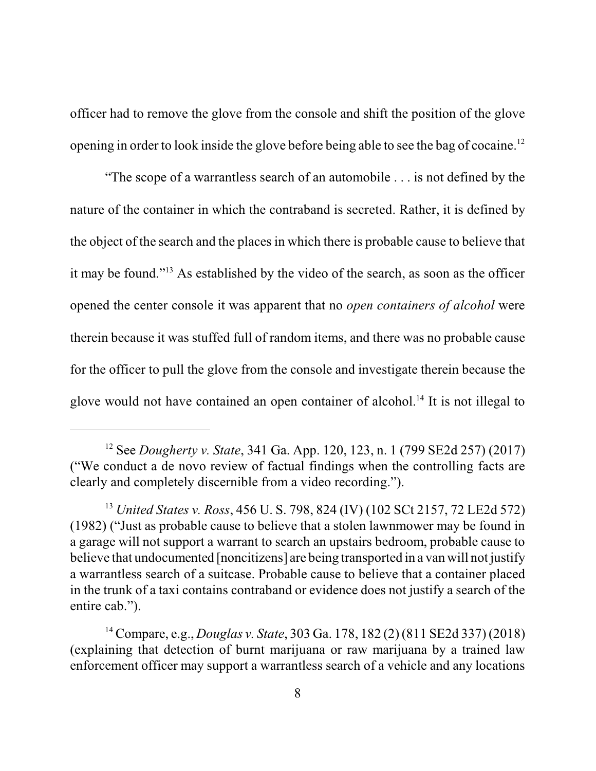officer had to remove the glove from the console and shift the position of the glove opening in order to look inside the glove before being able to see the bag of cocaine.<sup>12</sup>

"The scope of a warrantless search of an automobile . . . is not defined by the nature of the container in which the contraband is secreted. Rather, it is defined by the object of the search and the places in which there is probable cause to believe that it may be found."<sup>13</sup> As established by the video of the search, as soon as the officer opened the center console it was apparent that no *open containers of alcohol* were therein because it was stuffed full of random items, and there was no probable cause for the officer to pull the glove from the console and investigate therein because the glove would not have contained an open container of alcohol. 14 It is not illegal to

<sup>12</sup> See *Dougherty v. State*, 341 Ga. App. 120, 123, n. 1 (799 SE2d 257) (2017) ("We conduct a de novo review of factual findings when the controlling facts are clearly and completely discernible from a video recording.").

<sup>13</sup> *United States v. Ross*, 456 U. S. 798, 824 (IV) (102 SCt 2157, 72 LE2d 572) (1982) ("Just as probable cause to believe that a stolen lawnmower may be found in a garage will not support a warrant to search an upstairs bedroom, probable cause to believe that undocumented [noncitizens] are being transported in a van will not justify a warrantless search of a suitcase. Probable cause to believe that a container placed in the trunk of a taxi contains contraband or evidence does not justify a search of the entire cab.").

<sup>14</sup> Compare, e.g., *Douglas v. State*, 303 Ga. 178, 182 (2) (811 SE2d 337) (2018) (explaining that detection of burnt marijuana or raw marijuana by a trained law enforcement officer may support a warrantless search of a vehicle and any locations